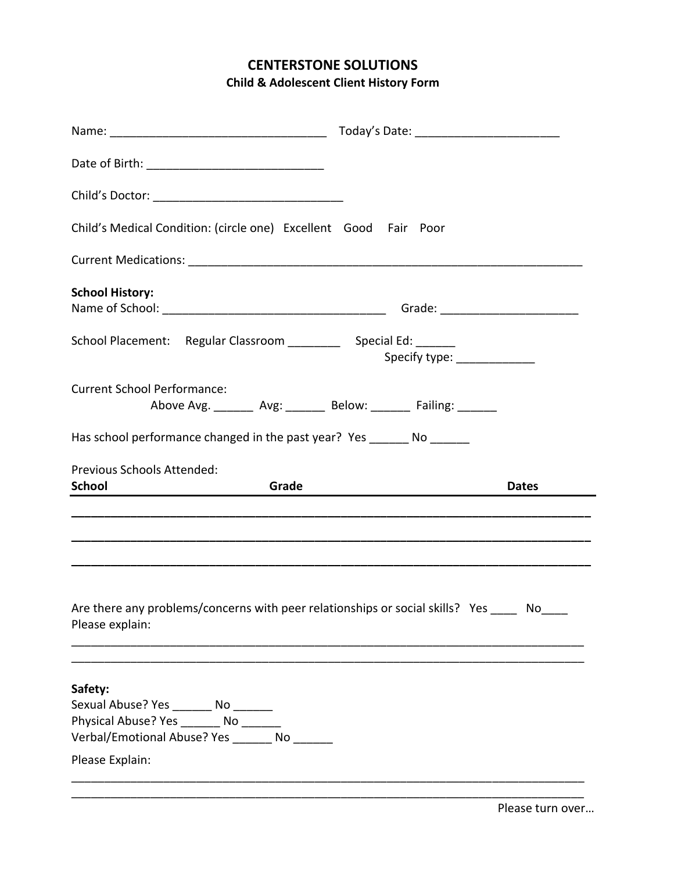## **CENTERSTONE SOLUTIONS Child & Adolescent Client History Form**